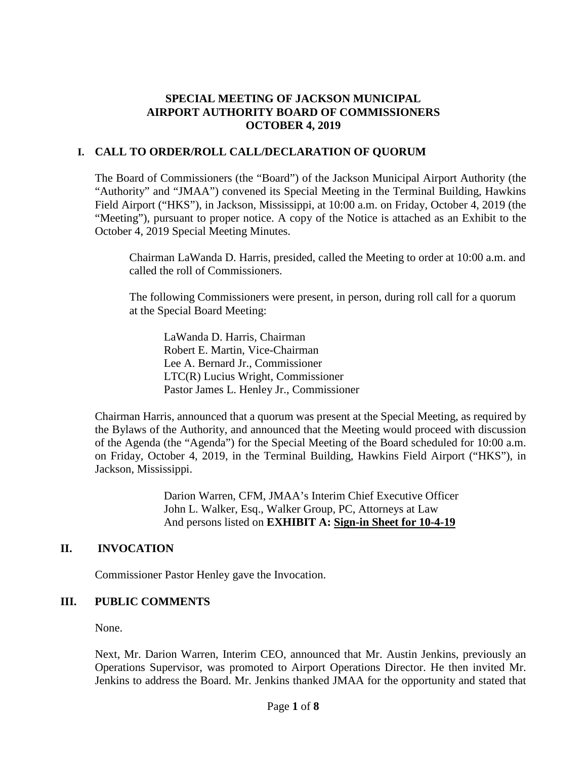#### **SPECIAL MEETING OF JACKSON MUNICIPAL AIRPORT AUTHORITY BOARD OF COMMISSIONERS OCTOBER 4, 2019**

### **I. CALL TO ORDER/ROLL CALL/DECLARATION OF QUORUM**

The Board of Commissioners (the "Board") of the Jackson Municipal Airport Authority (the "Authority" and "JMAA") convened its Special Meeting in the Terminal Building, Hawkins Field Airport ("HKS"), in Jackson, Mississippi, at 10:00 a.m. on Friday, October 4, 2019 (the "Meeting"), pursuant to proper notice. A copy of the Notice is attached as an Exhibit to the October 4, 2019 Special Meeting Minutes.

Chairman LaWanda D. Harris, presided, called the Meeting to order at 10:00 a.m. and called the roll of Commissioners.

The following Commissioners were present, in person, during roll call for a quorum at the Special Board Meeting:

LaWanda D. Harris, Chairman Robert E. Martin, Vice-Chairman Lee A. Bernard Jr., Commissioner LTC(R) Lucius Wright, Commissioner Pastor James L. Henley Jr., Commissioner

Chairman Harris, announced that a quorum was present at the Special Meeting, as required by the Bylaws of the Authority, and announced that the Meeting would proceed with discussion of the Agenda (the "Agenda") for the Special Meeting of the Board scheduled for 10:00 a.m. on Friday, October 4, 2019, in the Terminal Building, Hawkins Field Airport ("HKS"), in Jackson, Mississippi.

> Darion Warren, CFM, JMAA's Interim Chief Executive Officer John L. Walker, Esq., Walker Group, PC, Attorneys at Law And persons listed on **EXHIBIT A: Sign-in Sheet for 10-4-19**

### **II. INVOCATION**

Commissioner Pastor Henley gave the Invocation.

### **III. PUBLIC COMMENTS**

None.

Next, Mr. Darion Warren, Interim CEO, announced that Mr. Austin Jenkins, previously an Operations Supervisor, was promoted to Airport Operations Director. He then invited Mr. Jenkins to address the Board. Mr. Jenkins thanked JMAA for the opportunity and stated that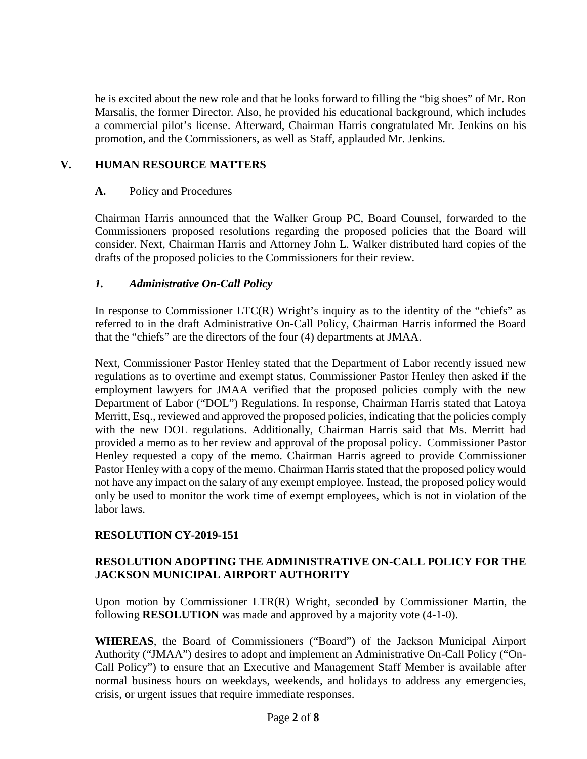he is excited about the new role and that he looks forward to filling the "big shoes" of Mr. Ron Marsalis, the former Director. Also, he provided his educational background, which includes a commercial pilot's license. Afterward, Chairman Harris congratulated Mr. Jenkins on his promotion, and the Commissioners, as well as Staff, applauded Mr. Jenkins.

## **V. HUMAN RESOURCE MATTERS**

### **A.** Policy and Procedures

Chairman Harris announced that the Walker Group PC, Board Counsel, forwarded to the Commissioners proposed resolutions regarding the proposed policies that the Board will consider. Next, Chairman Harris and Attorney John L. Walker distributed hard copies of the drafts of the proposed policies to the Commissioners for their review.

## *1. Administrative On-Call Policy*

In response to Commissioner LTC(R) Wright's inquiry as to the identity of the "chiefs" as referred to in the draft Administrative On-Call Policy, Chairman Harris informed the Board that the "chiefs" are the directors of the four (4) departments at JMAA.

Next, Commissioner Pastor Henley stated that the Department of Labor recently issued new regulations as to overtime and exempt status. Commissioner Pastor Henley then asked if the employment lawyers for JMAA verified that the proposed policies comply with the new Department of Labor ("DOL") Regulations. In response, Chairman Harris stated that Latoya Merritt, Esq., reviewed and approved the proposed policies, indicating that the policies comply with the new DOL regulations. Additionally, Chairman Harris said that Ms. Merritt had provided a memo as to her review and approval of the proposal policy. Commissioner Pastor Henley requested a copy of the memo. Chairman Harris agreed to provide Commissioner Pastor Henley with a copy of the memo. Chairman Harris stated that the proposed policy would not have any impact on the salary of any exempt employee. Instead, the proposed policy would only be used to monitor the work time of exempt employees, which is not in violation of the labor laws.

# **RESOLUTION CY-2019-151**

## **RESOLUTION ADOPTING THE ADMINISTRATIVE ON-CALL POLICY FOR THE JACKSON MUNICIPAL AIRPORT AUTHORITY**

Upon motion by Commissioner LTR(R) Wright, seconded by Commissioner Martin, the following **RESOLUTION** was made and approved by a majority vote (4-1-0).

**WHEREAS**, the Board of Commissioners ("Board") of the Jackson Municipal Airport Authority ("JMAA") desires to adopt and implement an Administrative On-Call Policy ("On-Call Policy") to ensure that an Executive and Management Staff Member is available after normal business hours on weekdays, weekends, and holidays to address any emergencies, crisis, or urgent issues that require immediate responses.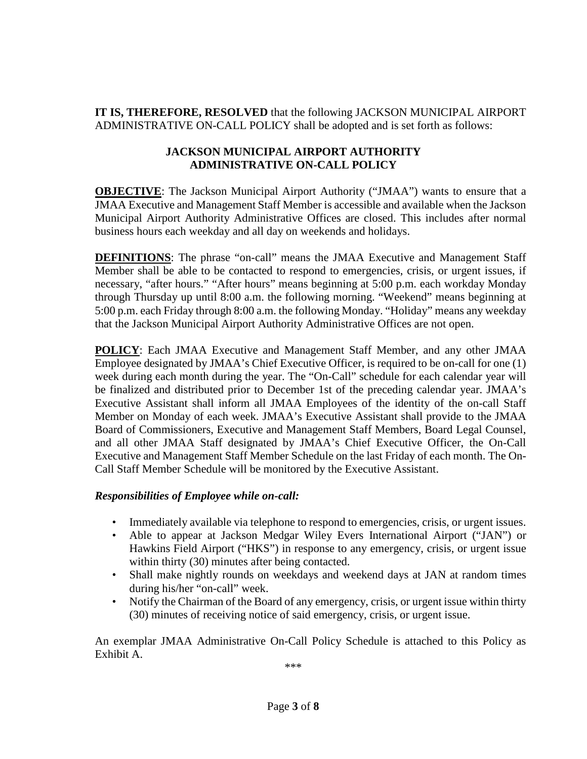**IT IS, THEREFORE, RESOLVED** that the following JACKSON MUNICIPAL AIRPORT ADMINISTRATIVE ON-CALL POLICY shall be adopted and is set forth as follows:

## **JACKSON MUNICIPAL AIRPORT AUTHORITY ADMINISTRATIVE ON-CALL POLICY**

**OBJECTIVE**: The Jackson Municipal Airport Authority ("JMAA") wants to ensure that a JMAA Executive and Management Staff Member is accessible and available when the Jackson Municipal Airport Authority Administrative Offices are closed. This includes after normal business hours each weekday and all day on weekends and holidays.

**DEFINITIONS**: The phrase "on-call" means the JMAA Executive and Management Staff Member shall be able to be contacted to respond to emergencies, crisis, or urgent issues, if necessary, "after hours." "After hours" means beginning at 5:00 p.m. each workday Monday through Thursday up until 8:00 a.m. the following morning. "Weekend" means beginning at 5:00 p.m. each Friday through 8:00 a.m. the following Monday. "Holiday" means any weekday that the Jackson Municipal Airport Authority Administrative Offices are not open.

**POLICY**: Each JMAA Executive and Management Staff Member, and any other JMAA Employee designated by JMAA's Chief Executive Officer, is required to be on-call for one (1) week during each month during the year. The "On-Call" schedule for each calendar year will be finalized and distributed prior to December 1st of the preceding calendar year. JMAA's Executive Assistant shall inform all JMAA Employees of the identity of the on-call Staff Member on Monday of each week. JMAA's Executive Assistant shall provide to the JMAA Board of Commissioners, Executive and Management Staff Members, Board Legal Counsel, and all other JMAA Staff designated by JMAA's Chief Executive Officer, the On-Call Executive and Management Staff Member Schedule on the last Friday of each month. The On-Call Staff Member Schedule will be monitored by the Executive Assistant.

### *Responsibilities of Employee while on-call:*

- Immediately available via telephone to respond to emergencies, crisis, or urgent issues.
- Able to appear at Jackson Medgar Wiley Evers International Airport ("JAN") or Hawkins Field Airport ("HKS") in response to any emergency, crisis, or urgent issue within thirty (30) minutes after being contacted.
- Shall make nightly rounds on weekdays and weekend days at JAN at random times during his/her "on-call" week.
- Notify the Chairman of the Board of any emergency, crisis, or urgent issue within thirty (30) minutes of receiving notice of said emergency, crisis, or urgent issue.

An exemplar JMAA Administrative On-Call Policy Schedule is attached to this Policy as Exhibit A.

\*\*\*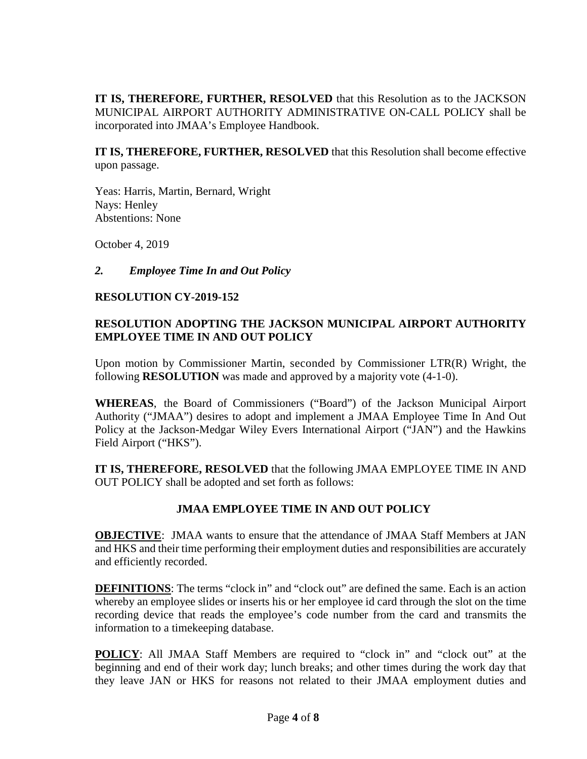**IT IS, THEREFORE, FURTHER, RESOLVED** that this Resolution as to the JACKSON MUNICIPAL AIRPORT AUTHORITY ADMINISTRATIVE ON-CALL POLICY shall be incorporated into JMAA's Employee Handbook.

**IT IS, THEREFORE, FURTHER, RESOLVED** that this Resolution shall become effective upon passage.

Yeas: Harris, Martin, Bernard, Wright Nays: Henley Abstentions: None

October 4, 2019

## *2. Employee Time In and Out Policy*

### **RESOLUTION CY-2019-152**

## **RESOLUTION ADOPTING THE JACKSON MUNICIPAL AIRPORT AUTHORITY EMPLOYEE TIME IN AND OUT POLICY**

Upon motion by Commissioner Martin, seconded by Commissioner LTR(R) Wright, the following **RESOLUTION** was made and approved by a majority vote (4-1-0).

**WHEREAS**, the Board of Commissioners ("Board") of the Jackson Municipal Airport Authority ("JMAA") desires to adopt and implement a JMAA Employee Time In And Out Policy at the Jackson-Medgar Wiley Evers International Airport ("JAN") and the Hawkins Field Airport ("HKS").

**IT IS, THEREFORE, RESOLVED** that the following JMAA EMPLOYEE TIME IN AND OUT POLICY shall be adopted and set forth as follows:

# **JMAA EMPLOYEE TIME IN AND OUT POLICY**

**OBJECTIVE**: JMAA wants to ensure that the attendance of JMAA Staff Members at JAN and HKS and their time performing their employment duties and responsibilities are accurately and efficiently recorded.

**DEFINITIONS:** The terms "clock in" and "clock out" are defined the same. Each is an action whereby an employee slides or inserts his or her employee id card through the slot on the time recording device that reads the employee's code number from the card and transmits the information to a timekeeping database.

**POLICY**: All JMAA Staff Members are required to "clock in" and "clock out" at the beginning and end of their work day; lunch breaks; and other times during the work day that they leave JAN or HKS for reasons not related to their JMAA employment duties and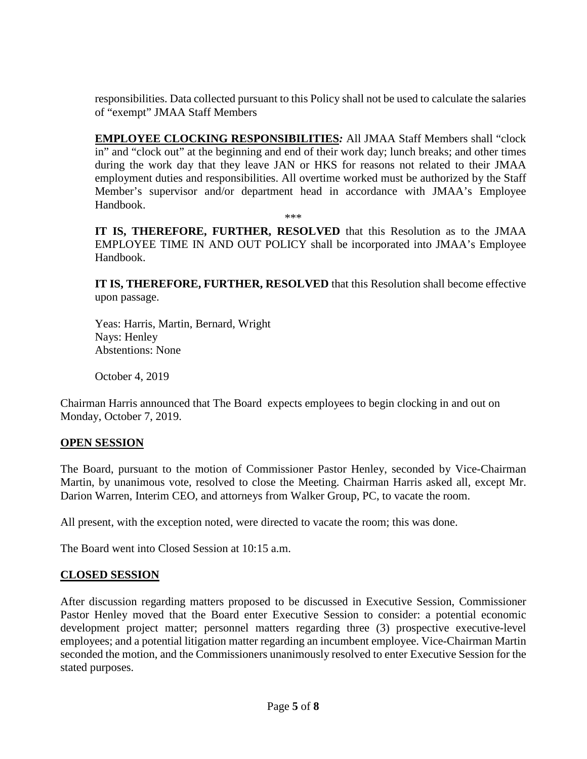responsibilities. Data collected pursuant to this Policy shall not be used to calculate the salaries of "exempt" JMAA Staff Members

**EMPLOYEE CLOCKING RESPONSIBILITIES***:* All JMAA Staff Members shall "clock in" and "clock out" at the beginning and end of their work day; lunch breaks; and other times during the work day that they leave JAN or HKS for reasons not related to their JMAA employment duties and responsibilities. All overtime worked must be authorized by the Staff Member's supervisor and/or department head in accordance with JMAA's Employee Handbook. \*\*\*

**IT IS, THEREFORE, FURTHER, RESOLVED** that this Resolution as to the JMAA EMPLOYEE TIME IN AND OUT POLICY shall be incorporated into JMAA's Employee Handbook.

**IT IS, THEREFORE, FURTHER, RESOLVED** that this Resolution shall become effective upon passage.

Yeas: Harris, Martin, Bernard, Wright Nays: Henley Abstentions: None

October 4, 2019

Chairman Harris announced that The Board expects employees to begin clocking in and out on Monday, October 7, 2019.

### **OPEN SESSION**

The Board, pursuant to the motion of Commissioner Pastor Henley, seconded by Vice-Chairman Martin, by unanimous vote, resolved to close the Meeting. Chairman Harris asked all, except Mr. Darion Warren, Interim CEO, and attorneys from Walker Group, PC, to vacate the room.

All present, with the exception noted, were directed to vacate the room; this was done.

The Board went into Closed Session at 10:15 a.m.

# **CLOSED SESSION**

After discussion regarding matters proposed to be discussed in Executive Session, Commissioner Pastor Henley moved that the Board enter Executive Session to consider: a potential economic development project matter; personnel matters regarding three (3) prospective executive-level employees; and a potential litigation matter regarding an incumbent employee. Vice-Chairman Martin seconded the motion, and the Commissioners unanimously resolved to enter Executive Session for the stated purposes.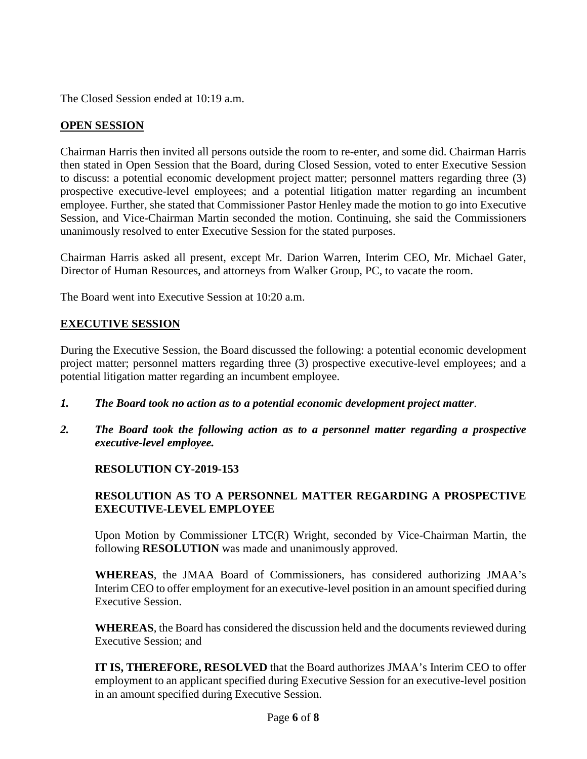The Closed Session ended at 10:19 a.m.

## **OPEN SESSION**

Chairman Harris then invited all persons outside the room to re-enter, and some did. Chairman Harris then stated in Open Session that the Board, during Closed Session, voted to enter Executive Session to discuss: a potential economic development project matter; personnel matters regarding three (3) prospective executive-level employees; and a potential litigation matter regarding an incumbent employee. Further, she stated that Commissioner Pastor Henley made the motion to go into Executive Session, and Vice-Chairman Martin seconded the motion. Continuing, she said the Commissioners unanimously resolved to enter Executive Session for the stated purposes.

Chairman Harris asked all present, except Mr. Darion Warren, Interim CEO, Mr. Michael Gater, Director of Human Resources, and attorneys from Walker Group, PC, to vacate the room.

The Board went into Executive Session at 10:20 a.m.

### **EXECUTIVE SESSION**

During the Executive Session, the Board discussed the following: a potential economic development project matter; personnel matters regarding three (3) prospective executive-level employees; and a potential litigation matter regarding an incumbent employee.

- *1. The Board took no action as to a potential economic development project matter*.
- *2. The Board took the following action as to a personnel matter regarding a prospective executive-level employee.*

### **RESOLUTION CY-2019-153**

### **RESOLUTION AS TO A PERSONNEL MATTER REGARDING A PROSPECTIVE EXECUTIVE-LEVEL EMPLOYEE**

Upon Motion by Commissioner LTC(R) Wright, seconded by Vice-Chairman Martin, the following **RESOLUTION** was made and unanimously approved.

**WHEREAS**, the JMAA Board of Commissioners, has considered authorizing JMAA's Interim CEO to offer employment for an executive-level position in an amount specified during Executive Session.

**WHEREAS**, the Board has considered the discussion held and the documents reviewed during Executive Session; and

**IT IS, THEREFORE, RESOLVED** that the Board authorizes JMAA's Interim CEO to offer employment to an applicant specified during Executive Session for an executive-level position in an amount specified during Executive Session.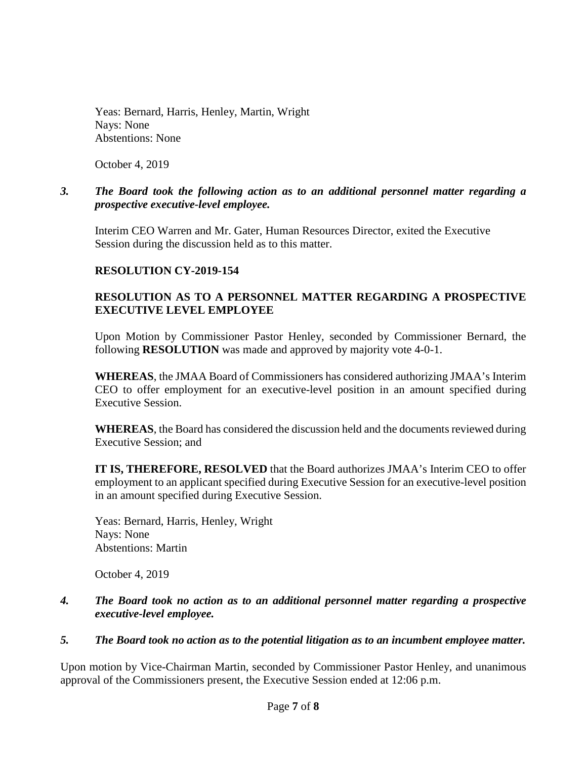Yeas: Bernard, Harris, Henley, Martin, Wright Nays: None Abstentions: None

October 4, 2019

### *3. The Board took the following action as to an additional personnel matter regarding a prospective executive-level employee.*

Interim CEO Warren and Mr. Gater, Human Resources Director, exited the Executive Session during the discussion held as to this matter.

## **RESOLUTION CY-2019-154**

# **RESOLUTION AS TO A PERSONNEL MATTER REGARDING A PROSPECTIVE EXECUTIVE LEVEL EMPLOYEE**

Upon Motion by Commissioner Pastor Henley, seconded by Commissioner Bernard, the following **RESOLUTION** was made and approved by majority vote 4-0-1.

**WHEREAS**, the JMAA Board of Commissioners has considered authorizing JMAA's Interim CEO to offer employment for an executive-level position in an amount specified during Executive Session.

**WHEREAS**, the Board has considered the discussion held and the documents reviewed during Executive Session; and

**IT IS, THEREFORE, RESOLVED** that the Board authorizes JMAA's Interim CEO to offer employment to an applicant specified during Executive Session for an executive-level position in an amount specified during Executive Session.

Yeas: Bernard, Harris, Henley, Wright Nays: None Abstentions: Martin

October 4, 2019

### *4. The Board took no action as to an additional personnel matter regarding a prospective executive-level employee.*

### *5. The Board took no action as to the potential litigation as to an incumbent employee matter.*

Upon motion by Vice-Chairman Martin, seconded by Commissioner Pastor Henley, and unanimous approval of the Commissioners present, the Executive Session ended at 12:06 p.m.